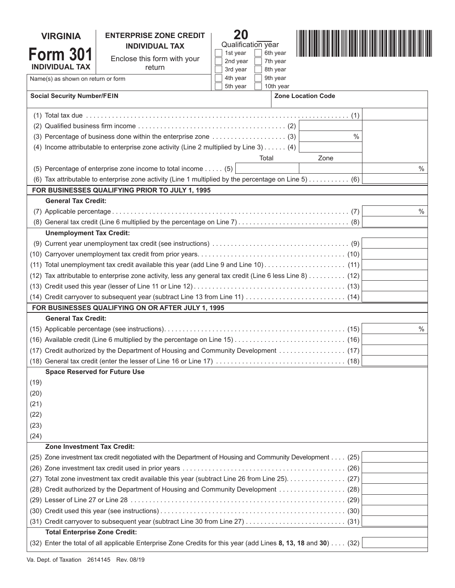| <b>VIRGINIA</b>                                                                                                                                           | <b>ENTERPRISE ZONE CREDIT</b>                                                                                  | 20<br>Qualification year                      |      |               |
|-----------------------------------------------------------------------------------------------------------------------------------------------------------|----------------------------------------------------------------------------------------------------------------|-----------------------------------------------|------|---------------|
| <b>Form 301</b>                                                                                                                                           | <b>INDIVIDUAL TAX</b><br>Enclose this form with your                                                           | 1st year<br>6th year                          |      |               |
| <b>INDIVIDUAL TAX</b>                                                                                                                                     | return                                                                                                         | 2nd year<br>7th year<br>3rd year<br>8th year  |      |               |
| Name(s) as shown on return or form                                                                                                                        |                                                                                                                | 4th year<br>9th year<br>5th year<br>10th year |      |               |
| <b>Social Security Number/FEIN</b>                                                                                                                        |                                                                                                                | <b>Zone Location Code</b>                     |      |               |
|                                                                                                                                                           |                                                                                                                |                                               |      |               |
|                                                                                                                                                           |                                                                                                                |                                               |      |               |
| (3) Percentage of business done within the enterprise zone  (3)<br>$\%$                                                                                   |                                                                                                                |                                               |      |               |
| (4) Income attributable to enterprise zone activity (Line 2 multiplied by Line 3) $\dots$ (4)                                                             |                                                                                                                |                                               |      |               |
|                                                                                                                                                           |                                                                                                                | Total                                         | Zone |               |
|                                                                                                                                                           | (5) Percentage of enterprise zone income to total income $\dots$ (5)                                           |                                               |      | $\frac{0}{0}$ |
| (6) Tax attributable to enterprise zone activity (Line 1 multiplied by the percentage on Line $5)$ (6)<br>FOR BUSINESSES QUALIFYING PRIOR TO JULY 1, 1995 |                                                                                                                |                                               |      |               |
| <b>General Tax Credit:</b>                                                                                                                                |                                                                                                                |                                               |      |               |
|                                                                                                                                                           |                                                                                                                |                                               |      | $\frac{0}{0}$ |
|                                                                                                                                                           |                                                                                                                |                                               |      |               |
| <b>Unemployment Tax Credit:</b>                                                                                                                           |                                                                                                                |                                               |      |               |
|                                                                                                                                                           |                                                                                                                |                                               |      |               |
|                                                                                                                                                           |                                                                                                                |                                               |      |               |
|                                                                                                                                                           |                                                                                                                |                                               |      |               |
| $(11)$ Total unemployment tax credit available this year (add Line 9 and Line 10) (11)                                                                    |                                                                                                                |                                               |      |               |
| (12) Tax attributable to enterprise zone activity, less any general tax credit (Line 6 less Line 8) (12)                                                  |                                                                                                                |                                               |      |               |
|                                                                                                                                                           |                                                                                                                |                                               |      |               |
|                                                                                                                                                           |                                                                                                                |                                               |      |               |
|                                                                                                                                                           | FOR BUSINESSES QUALIFYING ON OR AFTER JULY 1, 1995                                                             |                                               |      |               |
| <b>General Tax Credit:</b>                                                                                                                                |                                                                                                                |                                               |      |               |
|                                                                                                                                                           |                                                                                                                |                                               | $\%$ |               |
|                                                                                                                                                           |                                                                                                                |                                               |      |               |
| (17) Credit authorized by the Department of Housing and Community Development (17)                                                                        |                                                                                                                |                                               |      |               |
|                                                                                                                                                           |                                                                                                                |                                               |      |               |
| <b>Space Reserved for Future Use</b>                                                                                                                      |                                                                                                                |                                               |      |               |
| (19)                                                                                                                                                      |                                                                                                                |                                               |      |               |
| (20)                                                                                                                                                      |                                                                                                                |                                               |      |               |
| (21)                                                                                                                                                      |                                                                                                                |                                               |      |               |
| (22)                                                                                                                                                      |                                                                                                                |                                               |      |               |
| (23)                                                                                                                                                      |                                                                                                                |                                               |      |               |
| (24)                                                                                                                                                      |                                                                                                                |                                               |      |               |
| <b>Zone Investment Tax Credit:</b>                                                                                                                        |                                                                                                                |                                               |      |               |
| (25) Zone investment tax credit negotiated with the Department of Housing and Community Development (25)                                                  |                                                                                                                |                                               |      |               |
|                                                                                                                                                           |                                                                                                                |                                               |      |               |
| (27) Total zone investment tax credit available this year (subtract Line 26 from Line 25). (27)                                                           |                                                                                                                |                                               |      |               |
| (28) Credit authorized by the Department of Housing and Community Development (28)                                                                        |                                                                                                                |                                               |      |               |
|                                                                                                                                                           |                                                                                                                |                                               |      |               |
|                                                                                                                                                           |                                                                                                                |                                               |      |               |
|                                                                                                                                                           |                                                                                                                |                                               |      |               |
| <b>Total Enterprise Zone Credit:</b>                                                                                                                      |                                                                                                                |                                               |      |               |
|                                                                                                                                                           | (32) Enter the total of all applicable Enterprise Zone Credits for this year (add Lines 8, 13, 18 and 30) (32) |                                               |      |               |